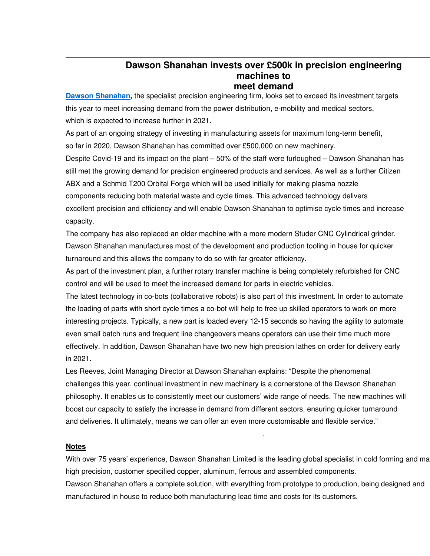## **Dawson Shanahan invests over £500k in precision engineering machines to meet demand**

**Dawson Shanahan,** the specialist precision engineering firm, looks set to exceed its investment targets this year to meet increasing demand from the power distribution, e-mobility and medical sectors, which is expected to increase further in 2021.

As part of an ongoing strategy of investing in manufacturing assets for maximum long-term benefit, so far in 2020, Dawson Shanahan has committed over £500,000 on new machinery.

Despite Covid-19 and its impact on the plant – 50% of the staff were furloughed – Dawson Shanahan has still met the growing demand for precision engineered products and services. As well as a further Citizen ABX and a Schmid T200 Orbital Forge which will be used initially for making plasma nozzle components reducing both material waste and cycle times. This advanced technology delivers

excellent precision and efficiency and will enable Dawson Shanahan to optimise cycle times and increase capacity.

The company has also replaced an older machine with a more modern Studer CNC Cylindrical grinder. Dawson Shanahan manufactures most of the development and production tooling in house for quicker turnaround and this allows the company to do so with far greater efficiency.

As part of the investment plan, a further rotary transfer machine is being completely refurbished for CNC control and will be used to meet the increased demand for parts in electric vehicles.

The latest technology in co-bots (collaborative robots) is also part of this investment. In order to automate the loading of parts with short cycle times a co-bot will help to free up skilled operators to work on more interesting projects. Typically, a new part is loaded every 12-15 seconds so having the agility to automate even small batch runs and frequent line changeovers means operators can use their time much more effectively. In addition, Dawson Shanahan have two new high precision lathes on order for delivery early in 2021.

Les Reeves, Joint Managing Director at Dawson Shanahan explains: "Despite the phenomenal challenges this year, continual investment in new machinery is a cornerstone of the Dawson Shanahan philosophy. It enables us to consistently meet our customers' wide range of needs. The new machines will boost our capacity to satisfy the increase in demand from different sectors, ensuring quicker turnaround and deliveries. It ultimately, means we can offer an even more customisable and flexible service."

## **Notes**

With over 75 years' experience, Dawson Shanahan Limited is the leading global specialist in cold forming and ma high precision, customer specified copper, aluminum, ferrous and assembled components.

.

Dawson Shanahan offers a complete solution, with everything from prototype to production, being designed and manufactured in house to reduce both manufacturing lead time and costs for its customers.